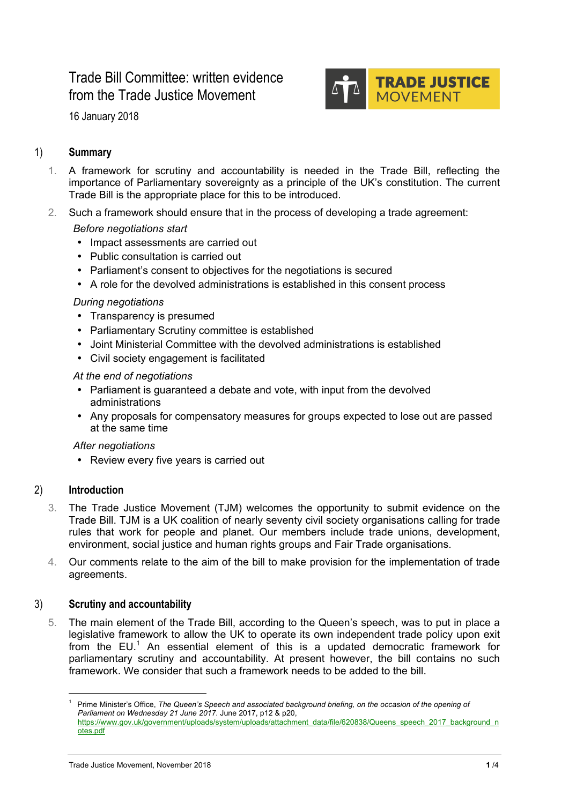# Trade Bill Committee: written evidence from the Trade Justice Movement



16 January 2018

# 1) **Summary**

- 1. A framework for scrutiny and accountability is needed in the Trade Bill, reflecting the importance of Parliamentary sovereignty as a principle of the UK's constitution. The current Trade Bill is the appropriate place for this to be introduced.
- 2. Such a framework should ensure that in the process of developing a trade agreement:

## *Before negotiations start*

- Impact assessments are carried out
- Public consultation is carried out
- Parliament's consent to objectives for the negotiations is secured
- A role for the devolved administrations is established in this consent process

#### *During negotiations*

- Transparency is presumed
- Parliamentary Scrutiny committee is established
- Joint Ministerial Committee with the devolved administrations is established
- Civil society engagement is facilitated

#### *At the end of negotiations*

- Parliament is guaranteed a debate and vote, with input from the devolved administrations
- Any proposals for compensatory measures for groups expected to lose out are passed at the same time

#### *After negotiations*

• Review every five years is carried out

# 2) **Introduction**

- 3. The Trade Justice Movement (TJM) welcomes the opportunity to submit evidence on the Trade Bill. TJM is a UK coalition of nearly seventy civil society organisations calling for trade rules that work for people and planet. Our members include trade unions, development, environment, social justice and human rights groups and Fair Trade organisations.
- 4. Our comments relate to the aim of the bill to make provision for the implementation of trade agreements.

# 3) **Scrutiny and accountability**

5. The main element of the Trade Bill, according to the Queen's speech, was to put in place a legislative framework to allow the UK to operate its own independent trade policy upon exit from the  $EU^1$  An essential element of this is a updated democratic framework for parliamentary scrutiny and accountability. At present however, the bill contains no such framework. We consider that such a framework needs to be added to the bill.

 <sup>1</sup> Prime Minister's Office, *The Queen's Speech and associated background briefing, on the occasion of the opening of Parliament on Wednesday 21 June 2017*. June 2017, p12 & p20, https://www.gov.uk/government/uploads/system/uploads/attachment\_data/file/620838/Queens\_speech\_2017\_background\_n otes.pdf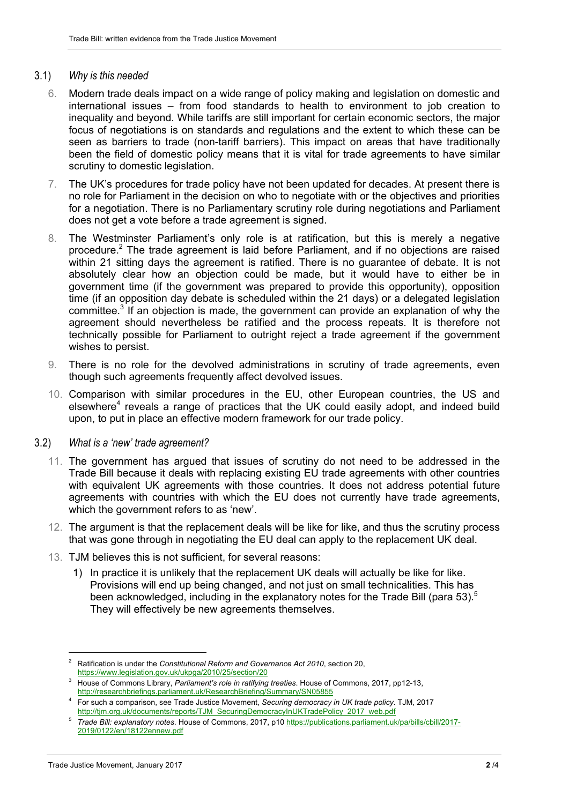#### 3.1) *Why is this needed*

- 6. Modern trade deals impact on a wide range of policy making and legislation on domestic and international issues – from food standards to health to environment to job creation to inequality and beyond. While tariffs are still important for certain economic sectors, the major focus of negotiations is on standards and regulations and the extent to which these can be seen as barriers to trade (non-tariff barriers). This impact on areas that have traditionally been the field of domestic policy means that it is vital for trade agreements to have similar scrutiny to domestic legislation.
- 7. The UK's procedures for trade policy have not been updated for decades. At present there is no role for Parliament in the decision on who to negotiate with or the objectives and priorities for a negotiation. There is no Parliamentary scrutiny role during negotiations and Parliament does not get a vote before a trade agreement is signed.
- 8. The Westminster Parliament's only role is at ratification, but this is merely a negative procedure.2 The trade agreement is laid before Parliament, and if no objections are raised within 21 sitting days the agreement is ratified. There is no guarantee of debate. It is not absolutely clear how an objection could be made, but it would have to either be in government time (if the government was prepared to provide this opportunity), opposition time (if an opposition day debate is scheduled within the 21 days) or a delegated legislation committee.<sup>3</sup> If an objection is made, the government can provide an explanation of why the agreement should nevertheless be ratified and the process repeats. It is therefore not technically possible for Parliament to outright reject a trade agreement if the government wishes to persist.
- 9. There is no role for the devolved administrations in scrutiny of trade agreements, even though such agreements frequently affect devolved issues.
- 10. Comparison with similar procedures in the EU, other European countries, the US and elsewhere<sup>4</sup> reveals a range of practices that the UK could easily adopt, and indeed build upon, to put in place an effective modern framework for our trade policy.

#### 3.2) *What is a 'new' trade agreement?*

- 11. The government has argued that issues of scrutiny do not need to be addressed in the Trade Bill because it deals with replacing existing EU trade agreements with other countries with equivalent UK agreements with those countries. It does not address potential future agreements with countries with which the EU does not currently have trade agreements, which the government refers to as 'new'.
- 12. The argument is that the replacement deals will be like for like, and thus the scrutiny process that was gone through in negotiating the EU deal can apply to the replacement UK deal.
- 13. TJM believes this is not sufficient, for several reasons:
	- 1) In practice it is unlikely that the replacement UK deals will actually be like for like. Provisions will end up being changed, and not just on small technicalities. This has been acknowledged, including in the explanatory notes for the Trade Bill (para 53).<sup>5</sup> They will effectively be new agreements themselves.

 <sup>2</sup> Ratification is under the *Constitutional Reform and Governance Act 2010*, section 20, https://www.legislation.gov.uk/ukpga/2010/25/section/20

<sup>3</sup> House of Commons Library, *Parliament's role in ratifying treaties*. House of Commons, 2017, pp12-13, http://researchbriefings.parliament.uk/ResearchBriefing/Summary/SN05855

<sup>4</sup> For such a comparison, see Trade Justice Movement, *Securing democracy in UK trade policy*. TJM, 2017 http://tjm.org.uk/documents/reports/TJM\_SecuringDemocracyInUKTradePolicy\_2017\_web.pdf

<sup>5</sup> *Trade Bill: explanatory notes*. House of Commons, 2017, p10 https://publications.parliament.uk/pa/bills/cbill/2017- 2019/0122/en/18122ennew.pdf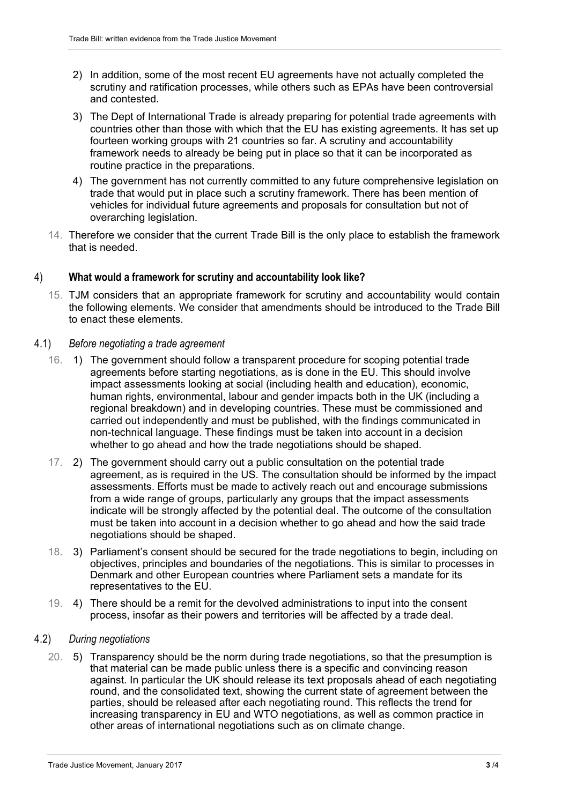- 2) In addition, some of the most recent EU agreements have not actually completed the scrutiny and ratification processes, while others such as EPAs have been controversial and contested.
- 3) The Dept of International Trade is already preparing for potential trade agreements with countries other than those with which that the EU has existing agreements. It has set up fourteen working groups with 21 countries so far. A scrutiny and accountability framework needs to already be being put in place so that it can be incorporated as routine practice in the preparations.
- 4) The government has not currently committed to any future comprehensive legislation on trade that would put in place such a scrutiny framework. There has been mention of vehicles for individual future agreements and proposals for consultation but not of overarching legislation.
- 14. Therefore we consider that the current Trade Bill is the only place to establish the framework that is needed.

## 4) **What would a framework for scrutiny and accountability look like?**

15. TJM considers that an appropriate framework for scrutiny and accountability would contain the following elements. We consider that amendments should be introduced to the Trade Bill to enact these elements.

## 4.1) *Before negotiating a trade agreement*

- 16. 1) The government should follow a transparent procedure for scoping potential trade agreements before starting negotiations, as is done in the EU. This should involve impact assessments looking at social (including health and education), economic, human rights, environmental, labour and gender impacts both in the UK (including a regional breakdown) and in developing countries. These must be commissioned and carried out independently and must be published, with the findings communicated in non-technical language. These findings must be taken into account in a decision whether to go ahead and how the trade negotiations should be shaped.
- 17. 2) The government should carry out a public consultation on the potential trade agreement, as is required in the US. The consultation should be informed by the impact assessments. Efforts must be made to actively reach out and encourage submissions from a wide range of groups, particularly any groups that the impact assessments indicate will be strongly affected by the potential deal. The outcome of the consultation must be taken into account in a decision whether to go ahead and how the said trade negotiations should be shaped.
- 18. 3) Parliament's consent should be secured for the trade negotiations to begin, including on objectives, principles and boundaries of the negotiations. This is similar to processes in Denmark and other European countries where Parliament sets a mandate for its representatives to the EU.
- 19. 4) There should be a remit for the devolved administrations to input into the consent process, insofar as their powers and territories will be affected by a trade deal.

#### 4.2) *During negotiations*

20. 5) Transparency should be the norm during trade negotiations, so that the presumption is that material can be made public unless there is a specific and convincing reason against. In particular the UK should release its text proposals ahead of each negotiating round, and the consolidated text, showing the current state of agreement between the parties, should be released after each negotiating round. This reflects the trend for increasing transparency in EU and WTO negotiations, as well as common practice in other areas of international negotiations such as on climate change.